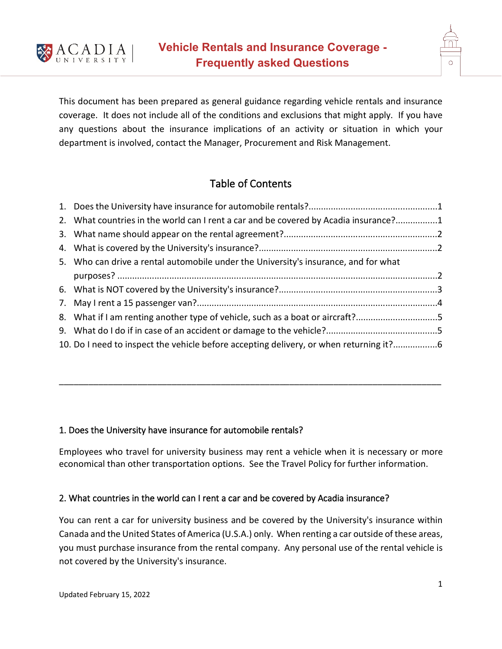

This document has been prepared as general guidance regarding vehicle rentals and insurance coverage. It does not include all of the conditions and exclusions that might apply. If you have any questions about the insurance implications of an activity or situation in which your department is involved, contact the Manager, Procurement and Risk Management.

# Table of Contents

| 2. What countries in the world can I rent a car and be covered by Acadia insurance?1   |  |
|----------------------------------------------------------------------------------------|--|
|                                                                                        |  |
|                                                                                        |  |
| 5. Who can drive a rental automobile under the University's insurance, and for what    |  |
|                                                                                        |  |
|                                                                                        |  |
|                                                                                        |  |
| 8. What if I am renting another type of vehicle, such as a boat or aircraft?5          |  |
|                                                                                        |  |
| 10. Do I need to inspect the vehicle before accepting delivery, or when returning it?6 |  |

## 1. Does the University have insurance for automobile rentals?

Employees who travel for university business may rent a vehicle when it is necessary or more economical than other transportation options. See the Travel Policy for further information.

\_\_\_\_\_\_\_\_\_\_\_\_\_\_\_\_\_\_\_\_\_\_\_\_\_\_\_\_\_\_\_\_\_\_\_\_\_\_\_\_\_\_\_\_\_\_\_\_\_\_\_\_\_\_\_\_\_\_\_\_\_\_\_\_\_\_\_\_\_\_\_\_\_\_\_\_\_\_

## 2. What countries in the world can I rent a car and be covered by Acadia insurance?

You can rent a car for university business and be covered by the University's insurance within Canada and the United States of America (U.S.A.) only. When renting a car outside of these areas, you must purchase insurance from the rental company. Any personal use of the rental vehicle is not covered by the University's insurance.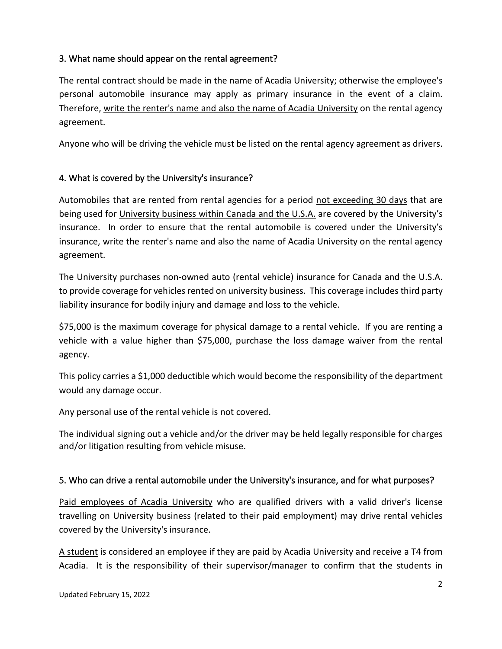# 3. What name should appear on the rental agreement?

The rental contract should be made in the name of Acadia University; otherwise the employee's personal automobile insurance may apply as primary insurance in the event of a claim. Therefore, write the renter's name and also the name of Acadia University on the rental agency agreement.

Anyone who will be driving the vehicle must be listed on the rental agency agreement as drivers.

# 4. What is covered by the University's insurance?

Automobiles that are rented from rental agencies for a period not exceeding 30 days that are being used for University business within Canada and the U.S.A. are covered by the University's insurance. In order to ensure that the rental automobile is covered under the University's insurance, write the renter's name and also the name of Acadia University on the rental agency agreement.

The University purchases non-owned auto (rental vehicle) insurance for Canada and the U.S.A. to provide coverage for vehicles rented on university business. This coverage includes third party liability insurance for bodily injury and damage and loss to the vehicle.

\$75,000 is the maximum coverage for physical damage to a rental vehicle. If you are renting a vehicle with a value higher than \$75,000, purchase the loss damage waiver from the rental agency.

This policy carries a \$1,000 deductible which would become the responsibility of the department would any damage occur.

Any personal use of the rental vehicle is not covered.

The individual signing out a vehicle and/or the driver may be held legally responsible for charges and/or litigation resulting from vehicle misuse.

## 5. Who can drive a rental automobile under the University's insurance, and for what purposes?

Paid employees of Acadia University who are qualified drivers with a valid driver's license travelling on University business (related to their paid employment) may drive rental vehicles covered by the University's insurance.

A student is considered an employee if they are paid by Acadia University and receive a T4 from Acadia. It is the responsibility of their supervisor/manager to confirm that the students in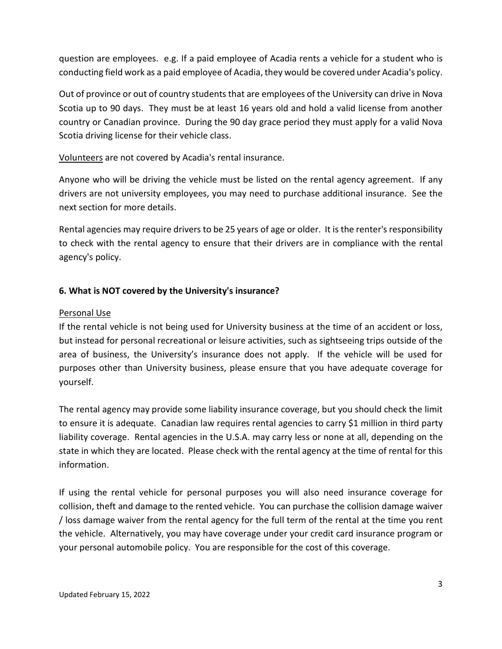question are employees. e.g. If a paid employee of Acadia rents a vehicle for a student who is conducting field work as a paid employee of Acadia, they would be covered under Acadia's policy.

Out of province or out of country students that are employees of the University can drive in Nova Scotia up to 90 days. They must be at least 16 years old and hold a valid license from another country or Canadian province. During the 90 day grace period they must apply for a valid Nova Scotia driving license for their vehicle class.

Volunteers are not covered by Acadia's rental insurance.

Anyone who will be driving the vehicle must be listed on the rental agency agreement. If any drivers are not university employees, you may need to purchase additional insurance. See the next section for more details.

Rental agencies may require drivers to be 25 years of age or older. It is the renter's responsibility to check with the rental agency to ensure that their drivers are in compliance with the rental agency's policy.

#### **6. What is NOT covered by the University's insurance?**

#### Personal Use

If the rental vehicle is not being used for University business at the time of an accident or loss, but instead for personal recreational or leisure activities, such as sightseeing trips outside of the area of business, the University's insurance does not apply. If the vehicle will be used for purposes other than University business, please ensure that you have adequate coverage for yourself.

The rental agency may provide some liability insurance coverage, but you should check the limit to ensure it is adequate. Canadian law requires rental agencies to carry \$1 million in third party liability coverage. Rental agencies in the U.S.A. may carry less or none at all, depending on the state in which they are located. Please check with the rental agency at the time of rental for this information.

If using the rental vehicle for personal purposes you will also need insurance coverage for collision, theft and damage to the rented vehicle. You can purchase the collision damage waiver / loss damage waiver from the rental agency for the full term of the rental at the time you rent the vehicle. Alternatively, you may have coverage under your credit card insurance program or your personal automobile policy. You are responsible for the cost of this coverage.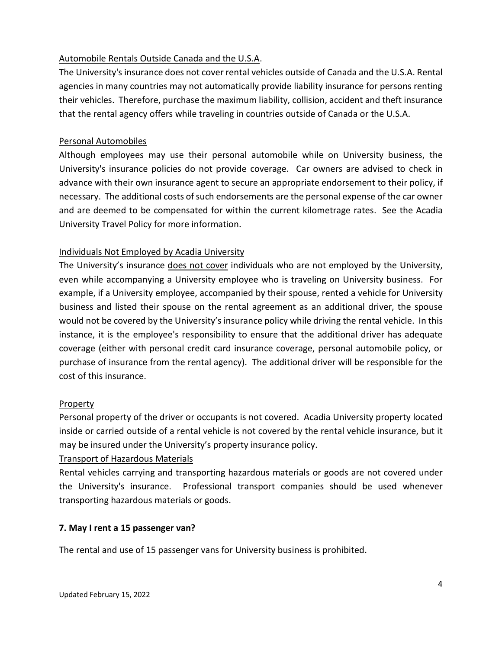## Automobile Rentals Outside Canada and the U.S.A.

The University's insurance does not cover rental vehicles outside of Canada and the U.S.A. Rental agencies in many countries may not automatically provide liability insurance for persons renting their vehicles. Therefore, purchase the maximum liability, collision, accident and theft insurance that the rental agency offers while traveling in countries outside of Canada or the U.S.A.

#### Personal Automobiles

Although employees may use their personal automobile while on University business, the University's insurance policies do not provide coverage. Car owners are advised to check in advance with their own insurance agent to secure an appropriate endorsement to their policy, if necessary. The additional costs of such endorsements are the personal expense of the car owner and are deemed to be compensated for within the current kilometrage rates. See the Acadia University Travel Policy for more information.

## Individuals Not Employed by Acadia University

The University's insurance does not cover individuals who are not employed by the University, even while accompanying a University employee who is traveling on University business. For example, if a University employee, accompanied by their spouse, rented a vehicle for University business and listed their spouse on the rental agreement as an additional driver, the spouse would not be covered by the University's insurance policy while driving the rental vehicle. In this instance, it is the employee's responsibility to ensure that the additional driver has adequate coverage (either with personal credit card insurance coverage, personal automobile policy, or purchase of insurance from the rental agency). The additional driver will be responsible for the cost of this insurance.

#### Property

Personal property of the driver or occupants is not covered. Acadia University property located inside or carried outside of a rental vehicle is not covered by the rental vehicle insurance, but it may be insured under the University's property insurance policy.

#### Transport of Hazardous Materials

Rental vehicles carrying and transporting hazardous materials or goods are not covered under the University's insurance. Professional transport companies should be used whenever transporting hazardous materials or goods.

#### **7. May I rent a 15 passenger van?**

The rental and use of 15 passenger vans for University business is prohibited.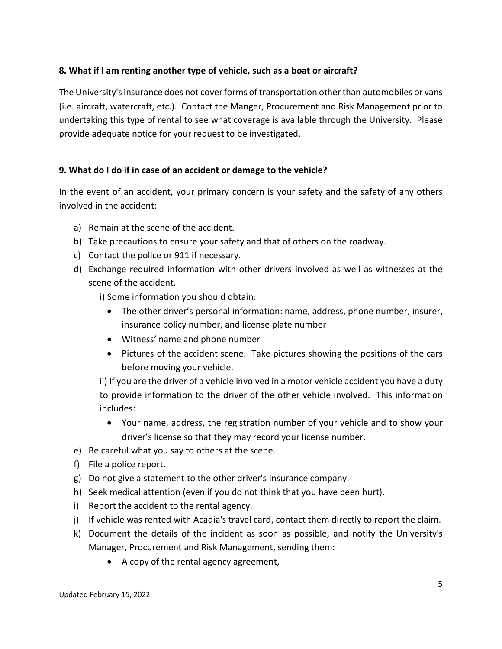## **8. What if I am renting another type of vehicle, such as a boat or aircraft?**

The University's insurance does not cover forms of transportation other than automobiles or vans (i.e. aircraft, watercraft, etc.). Contact the Manger, Procurement and Risk Management prior to undertaking this type of rental to see what coverage is available through the University. Please provide adequate notice for your request to be investigated.

#### **9. What do I do if in case of an accident or damage to the vehicle?**

In the event of an accident, your primary concern is your safety and the safety of any others involved in the accident:

- a) Remain at the scene of the accident.
- b) Take precautions to ensure your safety and that of others on the roadway.
- c) Contact the police or 911 if necessary.
- d) Exchange required information with other drivers involved as well as witnesses at the scene of the accident.

i) Some information you should obtain:

- The other driver's personal information: name, address, phone number, insurer, insurance policy number, and license plate number
- Witness' name and phone number
- Pictures of the accident scene. Take pictures showing the positions of the cars before moving your vehicle.

ii) If you are the driver of a vehicle involved in a motor vehicle accident you have a duty to provide information to the driver of the other vehicle involved. This information includes:

- Your name, address, the registration number of your vehicle and to show your driver's license so that they may record your license number.
- e) Be careful what you say to others at the scene.
- f) File a police report.
- g) Do not give a statement to the other driver's insurance company.
- h) Seek medical attention (even if you do not think that you have been hurt).
- i) Report the accident to the rental agency.
- j) If vehicle was rented with Acadia's travel card, contact them directly to report the claim.
- k) Document the details of the incident as soon as possible, and notify the University's Manager, Procurement and Risk Management, sending them:
	- A copy of the rental agency agreement,